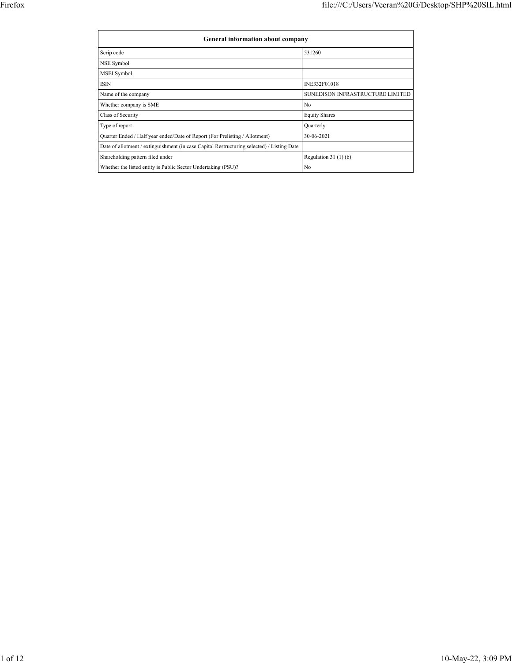| General information about company                                                          |                                  |
|--------------------------------------------------------------------------------------------|----------------------------------|
| Scrip code                                                                                 | 531260                           |
| NSE Symbol                                                                                 |                                  |
| MSEI Symbol                                                                                |                                  |
| <b>ISIN</b>                                                                                | INE332F01018                     |
| Name of the company                                                                        | SUNEDISON INFRASTRUCTURE LIMITED |
| Whether company is SME                                                                     | No                               |
| Class of Security                                                                          | <b>Equity Shares</b>             |
| Type of report                                                                             | Quarterly                        |
| Quarter Ended / Half year ended/Date of Report (For Prelisting / Allotment)                | 30-06-2021                       |
| Date of allotment / extinguishment (in case Capital Restructuring selected) / Listing Date |                                  |
| Shareholding pattern filed under                                                           | Regulation $31(1)(b)$            |
| Whether the listed entity is Public Sector Undertaking (PSU)?                              | No                               |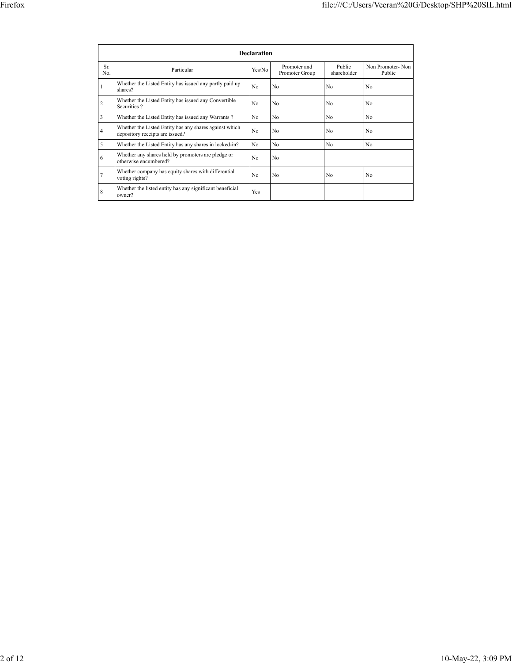|                | <b>Declaration</b>                                                                        |        |                                |                       |                            |  |  |  |  |  |  |  |
|----------------|-------------------------------------------------------------------------------------------|--------|--------------------------------|-----------------------|----------------------------|--|--|--|--|--|--|--|
| Sr.<br>No.     | Particular                                                                                | Yes/No | Promoter and<br>Promoter Group | Public<br>shareholder | Non Promoter-Non<br>Public |  |  |  |  |  |  |  |
| 1              | Whether the Listed Entity has issued any partly paid up<br>shares?                        | No     | No                             | No                    | No                         |  |  |  |  |  |  |  |
| $\overline{2}$ | Whether the Listed Entity has issued any Convertible<br>Securities?                       | No     | No                             | No                    | No                         |  |  |  |  |  |  |  |
| 3              | Whether the Listed Entity has issued any Warrants?                                        | No     | No                             | No                    | No                         |  |  |  |  |  |  |  |
| 4              | Whether the Listed Entity has any shares against which<br>depository receipts are issued? | No     | No                             | No                    | No                         |  |  |  |  |  |  |  |
| 5              | Whether the Listed Entity has any shares in locked-in?                                    | No     | No                             | No                    | No                         |  |  |  |  |  |  |  |
| 6              | Whether any shares held by promoters are pledge or<br>otherwise encumbered?               | No     | No                             |                       |                            |  |  |  |  |  |  |  |
| 7              | Whether company has equity shares with differential<br>voting rights?                     | No     | No                             | No                    | No                         |  |  |  |  |  |  |  |
| 8              | Whether the listed entity has any significant beneficial<br>owner?                        | Yes    |                                |                       |                            |  |  |  |  |  |  |  |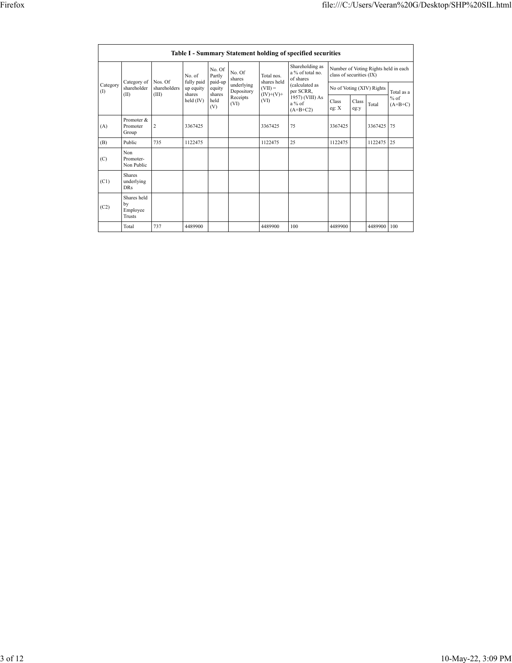|                 | Table I - Summary Statement holding of specified securities |                |                      |                             |                          |                                  |                                                                          |                                                                  |               |                           |                     |  |  |
|-----------------|-------------------------------------------------------------|----------------|----------------------|-----------------------------|--------------------------|----------------------------------|--------------------------------------------------------------------------|------------------------------------------------------------------|---------------|---------------------------|---------------------|--|--|
|                 | Category of                                                 | Nos. Of        | No. of<br>fully paid | No. Of<br>Partly<br>paid-up | No. Of<br>shares         | Total nos.<br>shares held        | Shareholding as<br>a % of total no.<br>of shares                         | Number of Voting Rights held in each<br>class of securities (IX) |               |                           |                     |  |  |
| Category<br>(1) | shareholder<br>(II)                                         | shareholders   | up equity<br>shares  | equity                      | underlying<br>Depository | $(VII) =$<br>$(IV)+(V)+$<br>(VI) | (calculated as<br>per SCRR,<br>1957) (VIII) As<br>$a\%$ of<br>$(A+B+C2)$ |                                                                  |               | No of Voting (XIV) Rights | Total as a          |  |  |
|                 |                                                             | (III)          | held (IV)            | shares<br>held<br>(V)       | Receipts<br>(VI)         |                                  |                                                                          | Class<br>eg: $X$                                                 | Class<br>eg:y | Total                     | $%$ of<br>$(A+B+C)$ |  |  |
| (A)             | Promoter &<br>Promoter<br>Group                             | $\overline{c}$ | 3367425              |                             |                          | 3367425                          | 75                                                                       | 3367425                                                          |               | 3367425                   | 75                  |  |  |
| (B)             | Public                                                      | 735            | 1122475              |                             |                          | 1122475                          | 25                                                                       | 1122475                                                          |               | 1122475                   | 25                  |  |  |
| (C)             | Non<br>Promoter-<br>Non Public                              |                |                      |                             |                          |                                  |                                                                          |                                                                  |               |                           |                     |  |  |
| (C1)            | <b>Shares</b><br>underlying<br><b>DRs</b>                   |                |                      |                             |                          |                                  |                                                                          |                                                                  |               |                           |                     |  |  |
| (C2)            | Shares held<br>by<br>Employee<br>Trusts                     |                |                      |                             |                          |                                  |                                                                          |                                                                  |               |                           |                     |  |  |
|                 | Total                                                       | 737            | 4489900              |                             |                          | 4489900                          | 100                                                                      | 4489900                                                          |               | 4489900                   | 100                 |  |  |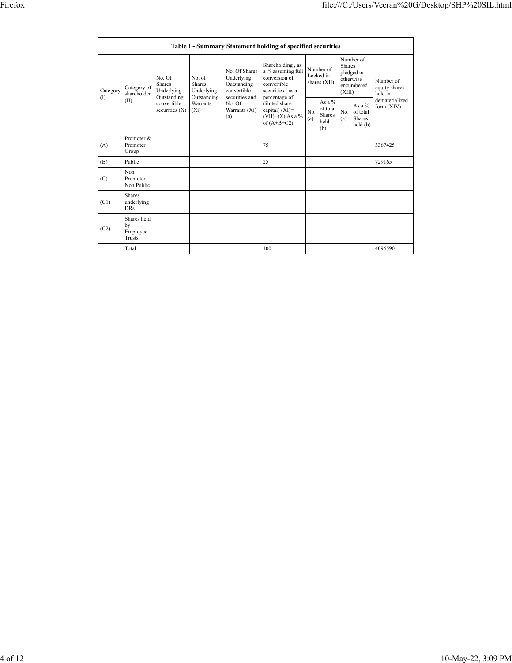|                 | Table I - Summary Statement holding of specified securities |                                               |                                                      |                                                                             |                                                                                                            |            |                                               |                         |                                                    |                                       |  |  |  |  |
|-----------------|-------------------------------------------------------------|-----------------------------------------------|------------------------------------------------------|-----------------------------------------------------------------------------|------------------------------------------------------------------------------------------------------------|------------|-----------------------------------------------|-------------------------|----------------------------------------------------|---------------------------------------|--|--|--|--|
| Category<br>(I) | Category of<br>shareholder<br>(II)                          | No. Of<br>Shares<br>Underlying<br>Outstanding | No. of<br><b>Shares</b><br>Underlying<br>Outstanding | No. Of Shares<br>Underlying<br>Outstanding<br>convertible<br>securities and | Shareholding, as<br>a % assuming full<br>conversion of<br>convertible<br>securities (as a<br>percentage of |            | Number of<br>Locked in<br>shares (XII)        | <b>Shares</b><br>(XIII) | Number of<br>pledged or<br>otherwise<br>encumbered | Number of<br>equity shares<br>held in |  |  |  |  |
|                 |                                                             | convertible<br>securities $(X)$               | Warrants<br>$(X_i)$                                  | No. Of<br>Warrants (Xi)<br>(a)                                              | diluted share<br>capital) (XI)=<br>$(VII)+(X)$ As a %<br>of $(A+B+C2)$                                     | No.<br>(a) | As a $%$<br>of total<br>Shares<br>held<br>(b) | No.<br>(a)              | As a $%$<br>of total<br>Shares<br>held(b)          | dematerialized<br>form (XIV)          |  |  |  |  |
| (A)             | Promoter &<br>Promoter<br>Group                             |                                               |                                                      |                                                                             | 75                                                                                                         |            |                                               |                         |                                                    | 3367425                               |  |  |  |  |
| (B)             | Public                                                      |                                               |                                                      |                                                                             | 25                                                                                                         |            |                                               |                         |                                                    | 729165                                |  |  |  |  |
| (C)             | Non<br>Promoter-<br>Non Public                              |                                               |                                                      |                                                                             |                                                                                                            |            |                                               |                         |                                                    |                                       |  |  |  |  |
| (C1)            | <b>Shares</b><br>underlying<br><b>DRs</b>                   |                                               |                                                      |                                                                             |                                                                                                            |            |                                               |                         |                                                    |                                       |  |  |  |  |
| (C2)            | Shares held<br>by<br>Employee<br><b>Trusts</b>              |                                               |                                                      |                                                                             |                                                                                                            |            |                                               |                         |                                                    |                                       |  |  |  |  |
|                 | Total                                                       |                                               |                                                      |                                                                             | 100                                                                                                        |            |                                               |                         |                                                    | 4096590                               |  |  |  |  |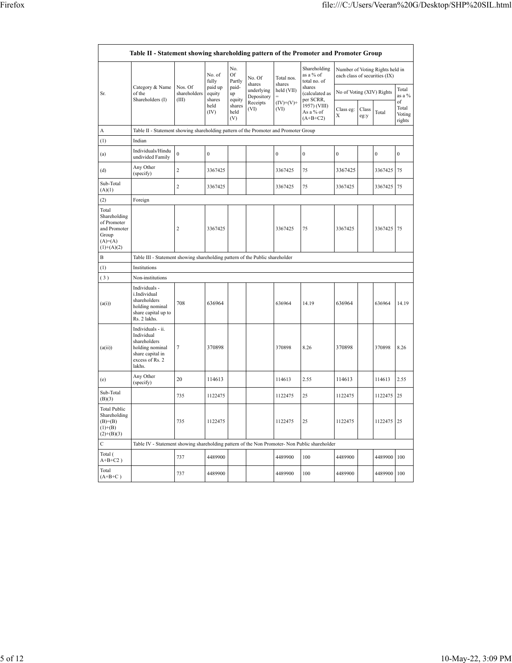|                                                                                            | Table II - Statement showing shareholding pattern of the Promoter and Promoter Group                                |                                  |                             |                                 |                                    |                      |                                           |                           |               |                                                                  |                                 |
|--------------------------------------------------------------------------------------------|---------------------------------------------------------------------------------------------------------------------|----------------------------------|-----------------------------|---------------------------------|------------------------------------|----------------------|-------------------------------------------|---------------------------|---------------|------------------------------------------------------------------|---------------------------------|
|                                                                                            |                                                                                                                     |                                  | No. of<br>fully             | No.<br>Of<br>Partly             | No. Of                             | Total nos.           | Shareholding<br>as a % of<br>total no. of |                           |               | Number of Voting Rights held in<br>each class of securities (IX) |                                 |
| Sr.                                                                                        | Category & Name<br>of the<br>Shareholders (I)                                                                       | Nos. Of<br>shareholders<br>(III) | paid up<br>equity<br>shares | paid-<br>up                     | shares<br>underlying<br>Depository | shares<br>held (VII) | shares<br>(calculated as<br>per SCRR,     | No of Voting (XIV) Rights |               | Total<br>as a %                                                  |                                 |
|                                                                                            |                                                                                                                     |                                  | held<br>(IV)                | equity<br>shares<br>held<br>(V) | Receipts<br>(VI)                   | $(IV)+(V)+$<br>(VI)  | 1957) (VIII)<br>As a % of<br>$(A+B+C2)$   | Class eg:<br>X            | Class<br>eg:y | Total                                                            | of<br>Total<br>Voting<br>rights |
| Α                                                                                          | Table II - Statement showing shareholding pattern of the Promoter and Promoter Group                                |                                  |                             |                                 |                                    |                      |                                           |                           |               |                                                                  |                                 |
| (1)                                                                                        | Indian                                                                                                              |                                  |                             |                                 |                                    |                      |                                           |                           |               |                                                                  |                                 |
| (a)                                                                                        | Individuals/Hindu<br>undivided Family                                                                               | $\boldsymbol{0}$                 | $\boldsymbol{0}$            |                                 |                                    | $\boldsymbol{0}$     | $\boldsymbol{0}$                          | $\mathbf 0$               |               | $\boldsymbol{0}$                                                 | $\boldsymbol{0}$                |
| (d)                                                                                        | Any Other<br>(specify)                                                                                              | $\overline{2}$                   | 3367425                     |                                 |                                    | 3367425              | 75                                        | 3367425                   |               | 3367425                                                          | 75                              |
| Sub-Total<br>(A)(1)                                                                        |                                                                                                                     | $\overline{c}$                   | 3367425                     |                                 |                                    | 3367425              | 75                                        | 3367425                   |               | 3367425                                                          | 75                              |
| (2)                                                                                        | Foreign                                                                                                             |                                  |                             |                                 |                                    |                      |                                           |                           |               |                                                                  |                                 |
| Total<br>Shareholding<br>of Promoter<br>and Promoter<br>Group<br>$(A)=(A)$<br>$(1)+(A)(2)$ |                                                                                                                     | $\overline{2}$                   | 3367425                     |                                 |                                    | 3367425              | 75                                        | 3367425                   |               | 3367425                                                          | 75                              |
| B                                                                                          | Table III - Statement showing shareholding pattern of the Public shareholder                                        |                                  |                             |                                 |                                    |                      |                                           |                           |               |                                                                  |                                 |
| (1)                                                                                        | Institutions                                                                                                        |                                  |                             |                                 |                                    |                      |                                           |                           |               |                                                                  |                                 |
| (3)                                                                                        | Non-institutions                                                                                                    |                                  |                             |                                 |                                    |                      |                                           |                           |               |                                                                  |                                 |
| (a(i))                                                                                     | Individuals -<br>i.Individual<br>shareholders<br>holding nominal<br>share capital up to<br>Rs. 2 lakhs.             | 708                              | 636964                      |                                 |                                    | 636964               | 14.19                                     | 636964                    |               | 636964                                                           | 14.19                           |
| (a(ii))                                                                                    | Individuals - ii.<br>Individual<br>shareholders<br>holding nominal<br>share capital in<br>excess of Rs. 2<br>lakhs. | $\overline{7}$                   | 370898                      |                                 |                                    | 370898               | 8.26                                      | 370898                    |               | 370898                                                           | 8.26                            |
| (e)                                                                                        | Any Other<br>(specify)                                                                                              | 20                               | 114613                      |                                 |                                    | 114613               | 2.55                                      | 114613                    |               | 114613                                                           | 2.55                            |
| Sub-Total<br>(B)(3)                                                                        |                                                                                                                     | 735                              | 1122475                     |                                 |                                    | 1122475              | 25                                        | 1122475                   |               | 1122475                                                          | 25                              |
| <b>Total Public</b><br>Shareholding<br>$(B)=B)$<br>$(1)+(B)$<br>$(2)+(B)(3)$               |                                                                                                                     | 735                              | 1122475                     |                                 |                                    | 1122475              | 25                                        | 1122475                   |               | 1122475                                                          | 25                              |
| $\mathsf{C}$                                                                               | Table IV - Statement showing shareholding pattern of the Non Promoter- Non Public shareholder                       |                                  |                             |                                 |                                    |                      |                                           |                           |               |                                                                  |                                 |
| Total (<br>$A+B+C2$ )                                                                      |                                                                                                                     | 737                              | 4489900                     |                                 |                                    | 4489900              | 100                                       | 4489900                   |               | 4489900                                                          | 100                             |
| Total<br>$(A+B+C)$                                                                         |                                                                                                                     | 737                              | 4489900                     |                                 |                                    | 4489900              | 100                                       | 4489900                   |               | 4489900                                                          | 100                             |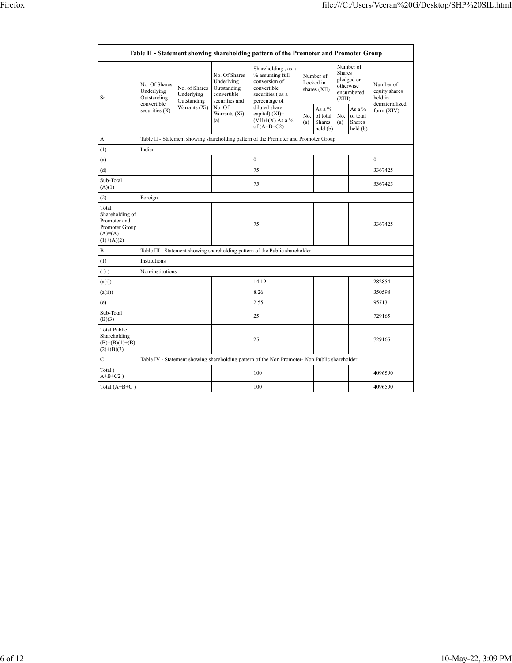|                                                                                         |                                                           |                                            |                                                                             | Table II - Statement showing shareholding pattern of the Promoter and Promoter Group                       |                                                       |                                        |                  |                                                    |                                       |  |  |  |  |  |
|-----------------------------------------------------------------------------------------|-----------------------------------------------------------|--------------------------------------------|-----------------------------------------------------------------------------|------------------------------------------------------------------------------------------------------------|-------------------------------------------------------|----------------------------------------|------------------|----------------------------------------------------|---------------------------------------|--|--|--|--|--|
| Sr.                                                                                     | No. Of Shares<br>Underlying<br>Outstanding<br>convertible | No. of Shares<br>Underlying<br>Outstanding | No. Of Shares<br>Underlying<br>Outstanding<br>convertible<br>securities and | Shareholding, as a<br>% assuming full<br>conversion of<br>convertible<br>securities (as a<br>percentage of |                                                       | Number of<br>Locked in<br>shares (XII) | Shares<br>(XIII) | Number of<br>pledged or<br>otherwise<br>encumbered | Number of<br>equity shares<br>held in |  |  |  |  |  |
|                                                                                         | securities $(X)$                                          | Warrants (Xi)                              | No. Of<br>Warrants (Xi)<br>(a)                                              | diluted share<br>capital) $(XI)$ =<br>(VII)+(X) As a %<br>of $(A+B+C2)$                                    | As a %<br>of total<br>No.<br>Shares<br>(a)<br>held(b) |                                        | No.<br>(a)       | As a %<br>of total<br>Shares<br>held(b)            | dematerialized<br>form $(XIV)$        |  |  |  |  |  |
| A                                                                                       |                                                           |                                            |                                                                             | Table II - Statement showing shareholding pattern of the Promoter and Promoter Group                       |                                                       |                                        |                  |                                                    |                                       |  |  |  |  |  |
| (1)                                                                                     | Indian                                                    |                                            |                                                                             |                                                                                                            |                                                       |                                        |                  |                                                    |                                       |  |  |  |  |  |
| (a)                                                                                     |                                                           |                                            |                                                                             | $\boldsymbol{0}$                                                                                           |                                                       |                                        |                  |                                                    | $\mathbf{0}$                          |  |  |  |  |  |
| (d)                                                                                     |                                                           |                                            |                                                                             | 75                                                                                                         |                                                       |                                        |                  |                                                    | 3367425                               |  |  |  |  |  |
| Sub-Total<br>(A)(1)                                                                     |                                                           |                                            |                                                                             | 75                                                                                                         |                                                       |                                        |                  |                                                    | 3367425                               |  |  |  |  |  |
| (2)                                                                                     | Foreign                                                   |                                            |                                                                             |                                                                                                            |                                                       |                                        |                  |                                                    |                                       |  |  |  |  |  |
| Total<br>Shareholding of<br>Promoter and<br>Promoter Group<br>$(A)=(A)$<br>$(1)+(A)(2)$ |                                                           |                                            |                                                                             | 75                                                                                                         |                                                       |                                        |                  |                                                    | 3367425                               |  |  |  |  |  |
| B                                                                                       |                                                           |                                            |                                                                             | Table III - Statement showing shareholding pattern of the Public shareholder                               |                                                       |                                        |                  |                                                    |                                       |  |  |  |  |  |
| (1)                                                                                     | Institutions                                              |                                            |                                                                             |                                                                                                            |                                                       |                                        |                  |                                                    |                                       |  |  |  |  |  |
| (3)                                                                                     | Non-institutions                                          |                                            |                                                                             |                                                                                                            |                                                       |                                        |                  |                                                    |                                       |  |  |  |  |  |
| (a(i))                                                                                  |                                                           |                                            |                                                                             | 14.19                                                                                                      |                                                       |                                        |                  |                                                    | 282854                                |  |  |  |  |  |
| (a(ii))                                                                                 |                                                           |                                            |                                                                             | 8.26                                                                                                       |                                                       |                                        |                  |                                                    | 350598                                |  |  |  |  |  |
| (e)                                                                                     |                                                           |                                            |                                                                             | 2.55                                                                                                       |                                                       |                                        |                  |                                                    | 95713                                 |  |  |  |  |  |
| Sub-Total<br>(B)(3)                                                                     |                                                           |                                            |                                                                             | 25                                                                                                         |                                                       |                                        |                  |                                                    | 729165                                |  |  |  |  |  |
| <b>Total Public</b><br>Shareholding<br>$(B)=(B)(1)+(B)$<br>$(2)+(B)(3)$                 |                                                           |                                            |                                                                             | 25                                                                                                         |                                                       |                                        |                  |                                                    | 729165                                |  |  |  |  |  |
| C                                                                                       |                                                           |                                            |                                                                             | Table IV - Statement showing shareholding pattern of the Non Promoter- Non Public shareholder              |                                                       |                                        |                  |                                                    |                                       |  |  |  |  |  |
| Total (<br>$A+B+C2$ )                                                                   |                                                           |                                            |                                                                             | 100                                                                                                        |                                                       |                                        |                  |                                                    | 4096590                               |  |  |  |  |  |
| Total $(A+B+C)$                                                                         |                                                           |                                            |                                                                             | 100                                                                                                        |                                                       |                                        |                  |                                                    | 4096590                               |  |  |  |  |  |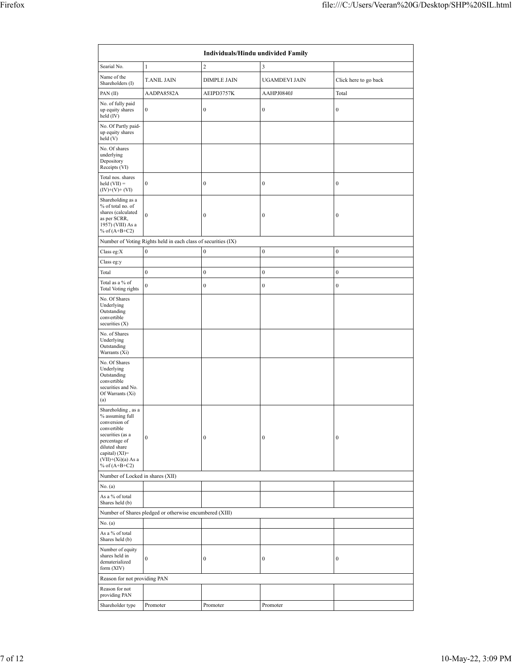|                                                                                                                                                                                                |                                                               | Individuals/Hindu undivided Family |                  |                       |
|------------------------------------------------------------------------------------------------------------------------------------------------------------------------------------------------|---------------------------------------------------------------|------------------------------------|------------------|-----------------------|
| Searial No.                                                                                                                                                                                    | $\mathbf{1}$                                                  | $\overline{c}$                     | $\overline{3}$   |                       |
| Name of the<br>Shareholders (I)                                                                                                                                                                | <b>T.ANIL JAIN</b>                                            | <b>DIMPLE JAIN</b>                 | UGAMDEVI JAIN    | Click here to go back |
| PAN (II)                                                                                                                                                                                       | AADPA8582A                                                    | AEIPD3757K                         | AAHPJ0840J       | Total                 |
| No. of fully paid<br>up equity shares<br>held (IV)                                                                                                                                             | $\boldsymbol{0}$                                              | $\boldsymbol{0}$                   | $\boldsymbol{0}$ | $\boldsymbol{0}$      |
| No. Of Partly paid-<br>up equity shares<br>held(V)                                                                                                                                             |                                                               |                                    |                  |                       |
| No. Of shares<br>underlying<br>Depository<br>Receipts (VI)                                                                                                                                     |                                                               |                                    |                  |                       |
| Total nos. shares<br>$\text{held (VII)} =$<br>$(IV)+(V)+(VI)$                                                                                                                                  | $\boldsymbol{0}$                                              | $\boldsymbol{0}$                   | $\boldsymbol{0}$ | $\boldsymbol{0}$      |
| Shareholding as a<br>% of total no. of<br>shares (calculated<br>as per SCRR,<br>1957) (VIII) As a<br>% of $(A+B+C2)$                                                                           | $\mathbf{0}$                                                  | $\boldsymbol{0}$                   | $\boldsymbol{0}$ | $\boldsymbol{0}$      |
|                                                                                                                                                                                                | Number of Voting Rights held in each class of securities (IX) |                                    |                  |                       |
| Class eg:X                                                                                                                                                                                     | $\boldsymbol{0}$                                              | $\boldsymbol{0}$                   | $\boldsymbol{0}$ | $\boldsymbol{0}$      |
| Class eg:y                                                                                                                                                                                     |                                                               |                                    |                  |                       |
| Total                                                                                                                                                                                          | $\mathbf{0}$                                                  | $\boldsymbol{0}$                   | $\boldsymbol{0}$ | $\boldsymbol{0}$      |
| Total as a % of<br>Total Voting rights                                                                                                                                                         | $\boldsymbol{0}$                                              | $\boldsymbol{0}$                   | $\boldsymbol{0}$ | $\boldsymbol{0}$      |
| No. Of Shares<br>Underlying<br>Outstanding<br>convertible<br>securities $(X)$                                                                                                                  |                                                               |                                    |                  |                       |
| No. of Shares<br>Underlying<br>Outstanding<br>Warrants (Xi)                                                                                                                                    |                                                               |                                    |                  |                       |
| No. Of Shares<br>Underlying<br>Outstanding<br>convertible<br>securities and No.<br>Of Warrants (Xi)<br>(a)                                                                                     |                                                               |                                    |                  |                       |
| Shareholding, as a<br>$\%$ assuming full<br>conversion of<br>convertible<br>securities (as a<br>percentage of<br>diluted share<br>capital) $(XI)$ =<br>$(VII)+(Xi)(a)$ As a<br>% of $(A+B+C2)$ | $\mathbf{0}$                                                  | $\boldsymbol{0}$                   | $\boldsymbol{0}$ | $\boldsymbol{0}$      |
| Number of Locked in shares (XII)                                                                                                                                                               |                                                               |                                    |                  |                       |
| No. (a)                                                                                                                                                                                        |                                                               |                                    |                  |                       |
| As a % of total<br>Shares held (b)                                                                                                                                                             |                                                               |                                    |                  |                       |
|                                                                                                                                                                                                | Number of Shares pledged or otherwise encumbered (XIII)       |                                    |                  |                       |
| No. (a)<br>As a % of total<br>Shares held (b)<br>Number of equity<br>shares held in<br>dematerialized                                                                                          | $\boldsymbol{0}$                                              | $\boldsymbol{0}$                   | $\boldsymbol{0}$ | $\boldsymbol{0}$      |
| form (XIV)                                                                                                                                                                                     |                                                               |                                    |                  |                       |
| Reason for not providing PAN<br>Reason for not<br>providing PAN                                                                                                                                |                                                               |                                    |                  |                       |
| Shareholder type                                                                                                                                                                               | Promoter                                                      | Promoter                           | Promoter         |                       |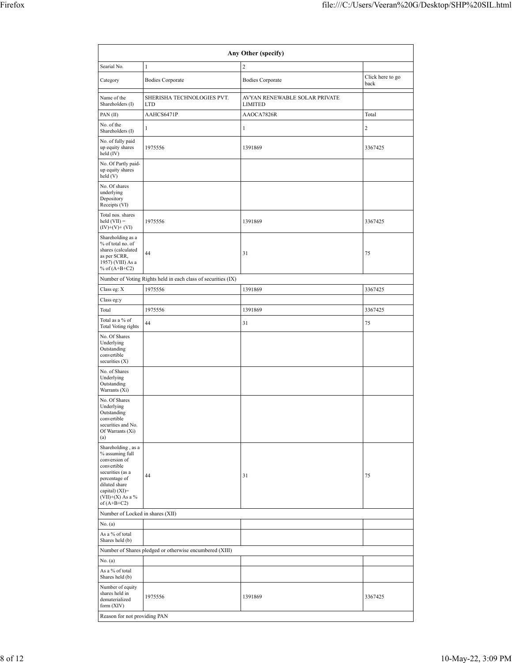| Any Other (specify)                                                                                                                                                                  |                                                               |                                                 |                          |  |  |  |  |  |  |  |  |
|--------------------------------------------------------------------------------------------------------------------------------------------------------------------------------------|---------------------------------------------------------------|-------------------------------------------------|--------------------------|--|--|--|--|--|--|--|--|
| Searial No.                                                                                                                                                                          | $\mathbf{1}$                                                  | $\overline{2}$                                  |                          |  |  |  |  |  |  |  |  |
| Category                                                                                                                                                                             | <b>Bodies Corporate</b>                                       | <b>Bodies Corporate</b>                         | Click here to go<br>back |  |  |  |  |  |  |  |  |
| Name of the<br>Shareholders (I)                                                                                                                                                      | SHERISHA TECHNOLOGIES PVT.<br><b>LTD</b>                      | AVYAN RENEWABLE SOLAR PRIVATE<br><b>LIMITED</b> |                          |  |  |  |  |  |  |  |  |
| PAN(II)                                                                                                                                                                              | AAHCS6471P                                                    | AAOCA7826R                                      | Total                    |  |  |  |  |  |  |  |  |
| No. of the<br>Shareholders (I)                                                                                                                                                       | $\mathbf{1}$                                                  | $\mathbf{1}$                                    | $\overline{c}$           |  |  |  |  |  |  |  |  |
| No. of fully paid<br>up equity shares<br>held (IV)                                                                                                                                   | 1975556                                                       | 1391869                                         | 3367425                  |  |  |  |  |  |  |  |  |
| No. Of Partly paid-<br>up equity shares<br>held(V)                                                                                                                                   |                                                               |                                                 |                          |  |  |  |  |  |  |  |  |
| No. Of shares<br>underlying<br>Depository<br>Receipts (VI)                                                                                                                           |                                                               |                                                 |                          |  |  |  |  |  |  |  |  |
| Total nos. shares<br>$held (VII) =$<br>$(IV)+(V)+(VI)$                                                                                                                               | 1975556                                                       | 1391869                                         | 3367425                  |  |  |  |  |  |  |  |  |
| Shareholding as a<br>% of total no. of<br>shares (calculated<br>as per SCRR,<br>1957) (VIII) As a<br>% of $(A+B+C2)$                                                                 | 44                                                            | 31                                              | 75                       |  |  |  |  |  |  |  |  |
|                                                                                                                                                                                      | Number of Voting Rights held in each class of securities (IX) |                                                 |                          |  |  |  |  |  |  |  |  |
| Class eg: X                                                                                                                                                                          | 1975556                                                       | 1391869                                         | 3367425                  |  |  |  |  |  |  |  |  |
| Class eg:y                                                                                                                                                                           |                                                               |                                                 |                          |  |  |  |  |  |  |  |  |
| Total                                                                                                                                                                                | 1975556                                                       | 1391869                                         | 3367425                  |  |  |  |  |  |  |  |  |
| Total as a % of<br>Total Voting rights                                                                                                                                               | 44                                                            | 31                                              | 75                       |  |  |  |  |  |  |  |  |
| No. Of Shares<br>Underlying<br>Outstanding<br>convertible<br>securities (X)                                                                                                          |                                                               |                                                 |                          |  |  |  |  |  |  |  |  |
| No. of Shares<br>Underlying<br>Outstanding<br>Warrants (Xi)                                                                                                                          |                                                               |                                                 |                          |  |  |  |  |  |  |  |  |
| No. Of Shares<br>Underlying<br>Outstanding<br>convertible<br>securities and No.<br>Of Warrants (Xi)<br>(a)                                                                           |                                                               |                                                 |                          |  |  |  |  |  |  |  |  |
| Shareholding, as a<br>% assuming full<br>conversion of<br>convertible<br>securities (as a<br>percentage of<br>diluted share<br>capital) (XI)=<br>$(VII)+(X)$ As a %<br>of $(A+B+C2)$ | 44                                                            | 31                                              | 75                       |  |  |  |  |  |  |  |  |
| Number of Locked in shares (XII)                                                                                                                                                     |                                                               |                                                 |                          |  |  |  |  |  |  |  |  |
| No. (a)                                                                                                                                                                              |                                                               |                                                 |                          |  |  |  |  |  |  |  |  |
| As a % of total<br>Shares held (b)                                                                                                                                                   |                                                               |                                                 |                          |  |  |  |  |  |  |  |  |
|                                                                                                                                                                                      | Number of Shares pledged or otherwise encumbered (XIII)       |                                                 |                          |  |  |  |  |  |  |  |  |
| No. (a)                                                                                                                                                                              |                                                               |                                                 |                          |  |  |  |  |  |  |  |  |
| As a % of total<br>Shares held (b)                                                                                                                                                   |                                                               |                                                 |                          |  |  |  |  |  |  |  |  |
| Number of equity<br>shares held in<br>dematerialized<br>form (XIV)                                                                                                                   | 1975556                                                       | 1391869                                         | 3367425                  |  |  |  |  |  |  |  |  |
| Reason for not providing PAN                                                                                                                                                         |                                                               |                                                 |                          |  |  |  |  |  |  |  |  |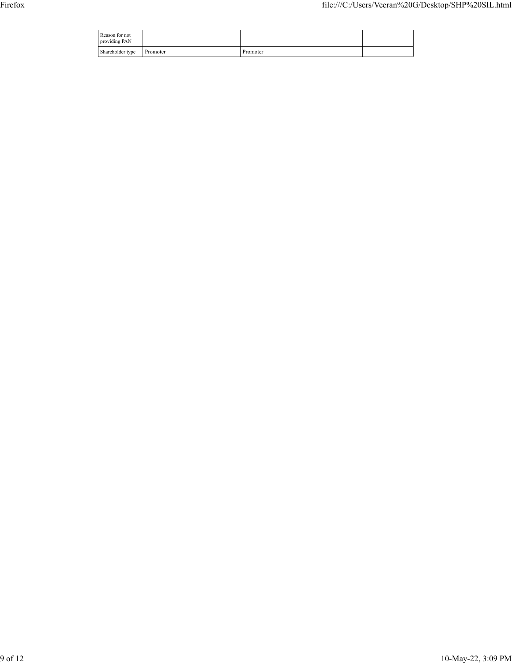| Reason for not<br>providing PAN |          |          |  |
|---------------------------------|----------|----------|--|
| Shareholder type                | Promoter | Promoter |  |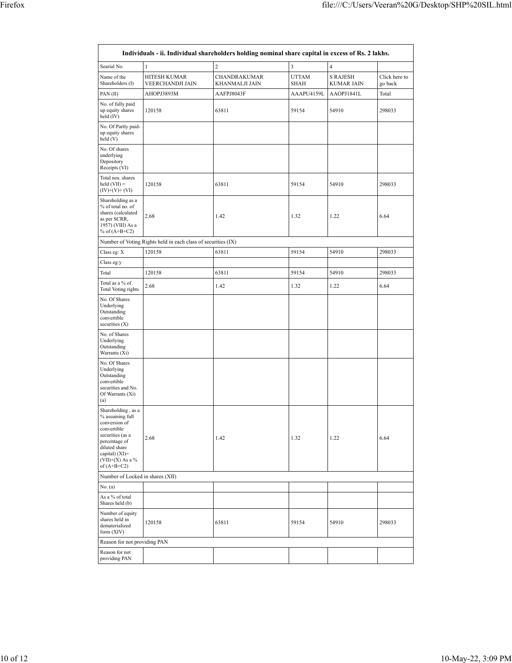| Searial No.                                                                                                                                                                          | $\mathbf{1}$                                                  | $\overline{c}$                 | 3                    | $\overline{4}$                       |                          |
|--------------------------------------------------------------------------------------------------------------------------------------------------------------------------------------|---------------------------------------------------------------|--------------------------------|----------------------|--------------------------------------|--------------------------|
| Name of the<br>Shareholders (I)                                                                                                                                                      | HITESH KUMAR<br>VEERCHANDJI JAIN                              | CHANDRAKUMAR<br>KHANMALJI JAIN | <b>UTTAM</b><br>SHAH | <b>S RAJESH</b><br><b>KUMAR JAIN</b> | Click here to<br>go back |
| PAN (II)                                                                                                                                                                             | AHOPJ3893M                                                    | AAFPJ8043F                     | AAAPU4159L           | AAOPJ1841L                           | Total                    |
| No. of fully paid<br>up equity shares<br>held (IV)                                                                                                                                   | 120158                                                        | 63811                          | 59154                | 54910                                | 298033                   |
| No. Of Partly paid-<br>up equity shares<br>held(V)                                                                                                                                   |                                                               |                                |                      |                                      |                          |
| No. Of shares<br>underlying<br>Depository<br>Receipts (VI)                                                                                                                           |                                                               |                                |                      |                                      |                          |
| Total nos. shares<br>held $(VII) =$<br>$(IV)+(V)+(VI)$                                                                                                                               | 120158                                                        | 63811                          | 59154                | 54910                                | 298033                   |
| Shareholding as a<br>% of total no. of<br>shares (calculated<br>as per SCRR,<br>1957) (VIII) As a<br>% of $(A+B+C2)$                                                                 | 2.68                                                          | 1.42                           | 1.32                 | 1.22                                 | 6.64                     |
|                                                                                                                                                                                      | Number of Voting Rights held in each class of securities (IX) |                                |                      |                                      |                          |
| Class eg: X                                                                                                                                                                          | 120158                                                        | 63811                          | 59154                | 54910                                | 298033                   |
| Class eg:y                                                                                                                                                                           |                                                               |                                |                      |                                      |                          |
| Total                                                                                                                                                                                | 120158                                                        | 63811                          | 59154                | 54910                                | 298033                   |
| Total as a % of<br>Total Voting rights                                                                                                                                               | 2.68                                                          | 1.42                           | 1.32                 | 1.22                                 | 6.64                     |
| No. Of Shares<br>Underlying<br>Outstanding<br>convertible<br>securities (X)                                                                                                          |                                                               |                                |                      |                                      |                          |
| No. of Shares<br>Underlying<br>Outstanding<br>Warrants (Xi)                                                                                                                          |                                                               |                                |                      |                                      |                          |
| No. Of Shares<br>Underlying<br>Outstanding<br>convertible<br>securities and No.<br>Of Warrants (Xi)<br>(a)                                                                           |                                                               |                                |                      |                                      |                          |
| Shareholding, as a<br>% assuming full<br>conversion of<br>convertible<br>securities (as a<br>percentage of<br>diluted share<br>capital) (XI)=<br>$(VII)+(X)$ As a %<br>of $(A+B+C2)$ | 2.68                                                          | 1.42                           | 1.32                 | 1.22                                 | 6.64                     |
| Number of Locked in shares (XII)                                                                                                                                                     |                                                               |                                |                      |                                      |                          |
| No. (a)                                                                                                                                                                              |                                                               |                                |                      |                                      |                          |
| As a % of total<br>Shares held (b)                                                                                                                                                   |                                                               |                                |                      |                                      |                          |
| Number of equity<br>shares held in<br>dematerialized<br>form (XIV)                                                                                                                   | 120158                                                        | 63811                          | 59154                | 54910                                | 298033                   |
| Reason for not providing PAN                                                                                                                                                         |                                                               |                                |                      |                                      |                          |
| Reason for not<br>providing PAN                                                                                                                                                      |                                                               |                                |                      |                                      |                          |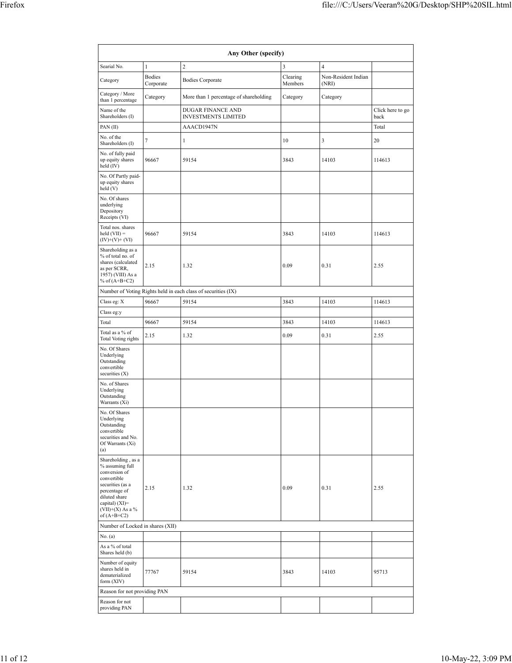| Any Other (specify)                                                                                                                                                                     |                            |                                                               |                     |                              |                          |  |  |  |  |  |  |  |
|-----------------------------------------------------------------------------------------------------------------------------------------------------------------------------------------|----------------------------|---------------------------------------------------------------|---------------------|------------------------------|--------------------------|--|--|--|--|--|--|--|
| Searial No.                                                                                                                                                                             | $\mathbf{1}$               | $\overline{2}$                                                | 3                   | $\overline{4}$               |                          |  |  |  |  |  |  |  |
| Category                                                                                                                                                                                | <b>Bodies</b><br>Corporate | <b>Bodies Corporate</b>                                       | Clearing<br>Members | Non-Resident Indian<br>(NRI) |                          |  |  |  |  |  |  |  |
| Category / More<br>than 1 percentage                                                                                                                                                    | Category                   | More than 1 percentage of shareholding                        | Category            | Category                     |                          |  |  |  |  |  |  |  |
| Name of the<br>Shareholders (I)                                                                                                                                                         |                            | DUGAR FINANCE AND<br><b>INVESTMENTS LIMITED</b>               |                     |                              | Click here to go<br>back |  |  |  |  |  |  |  |
| PAN (II)                                                                                                                                                                                |                            | AAACD1947N                                                    |                     |                              | Total                    |  |  |  |  |  |  |  |
| No. of the<br>Shareholders (I)                                                                                                                                                          | $\tau$                     | 1                                                             | 10                  | 3                            | 20                       |  |  |  |  |  |  |  |
| No. of fully paid<br>up equity shares<br>held (IV)                                                                                                                                      | 96667                      | 59154                                                         | 3843                | 14103                        | 114613                   |  |  |  |  |  |  |  |
| No. Of Partly paid-<br>up equity shares<br>held (V)                                                                                                                                     |                            |                                                               |                     |                              |                          |  |  |  |  |  |  |  |
| No. Of shares<br>underlying<br>Depository<br>Receipts (VI)                                                                                                                              |                            |                                                               |                     |                              |                          |  |  |  |  |  |  |  |
| Total nos. shares<br>$held (VII) =$<br>$(IV)+(V)+(VI)$                                                                                                                                  | 96667                      | 59154                                                         | 3843                | 14103                        | 114613                   |  |  |  |  |  |  |  |
| Shareholding as a<br>% of total no. of<br>shares (calculated<br>as per SCRR,<br>1957) (VIII) As a<br>% of $(A+B+C2)$                                                                    | 2.15                       | 1.32                                                          | 0.09                | 0.31                         | 2.55                     |  |  |  |  |  |  |  |
|                                                                                                                                                                                         |                            | Number of Voting Rights held in each class of securities (IX) |                     |                              |                          |  |  |  |  |  |  |  |
| Class eg: X                                                                                                                                                                             | 96667                      | 59154                                                         | 3843                | 14103                        | 114613                   |  |  |  |  |  |  |  |
| Class eg:y                                                                                                                                                                              |                            |                                                               |                     |                              |                          |  |  |  |  |  |  |  |
| Total                                                                                                                                                                                   | 96667                      | 59154                                                         | 3843                | 14103                        | 114613                   |  |  |  |  |  |  |  |
| Total as a % of<br>Total Voting rights                                                                                                                                                  | 2.15                       | 1.32                                                          | 0.09                | 0.31                         | 2.55                     |  |  |  |  |  |  |  |
| No. Of Shares<br>Underlying<br>Outstanding<br>convertible<br>securities (X)                                                                                                             |                            |                                                               |                     |                              |                          |  |  |  |  |  |  |  |
| No. of Shares<br>Underlying<br>Outstanding<br>Warrants (Xi)                                                                                                                             |                            |                                                               |                     |                              |                          |  |  |  |  |  |  |  |
| No. Of Shares<br>Underlying<br>Outstanding<br>convertible<br>securities and No.<br>Of Warrants (Xi)<br>(a)                                                                              |                            |                                                               |                     |                              |                          |  |  |  |  |  |  |  |
| Shareholding, as a<br>% assuming full<br>conversion of<br>convertible<br>securities (as a<br>percentage of<br>diluted share<br>capital) $(XI)$ =<br>$(VII)+(X)$ As a %<br>of $(A+B+C2)$ | 2.15                       | 1.32                                                          | 0.09                | 0.31                         | 2.55                     |  |  |  |  |  |  |  |
| Number of Locked in shares (XII)                                                                                                                                                        |                            |                                                               |                     |                              |                          |  |  |  |  |  |  |  |
| No. (a)                                                                                                                                                                                 |                            |                                                               |                     |                              |                          |  |  |  |  |  |  |  |
| As a % of total<br>Shares held (b)                                                                                                                                                      |                            |                                                               |                     |                              |                          |  |  |  |  |  |  |  |
| Number of equity<br>shares held in<br>dematerialized<br>form $(XIV)$                                                                                                                    | 77767                      | 59154                                                         | 3843                | 14103                        | 95713                    |  |  |  |  |  |  |  |
| Reason for not providing PAN                                                                                                                                                            |                            |                                                               |                     |                              |                          |  |  |  |  |  |  |  |
| Reason for not<br>providing PAN                                                                                                                                                         |                            |                                                               |                     |                              |                          |  |  |  |  |  |  |  |